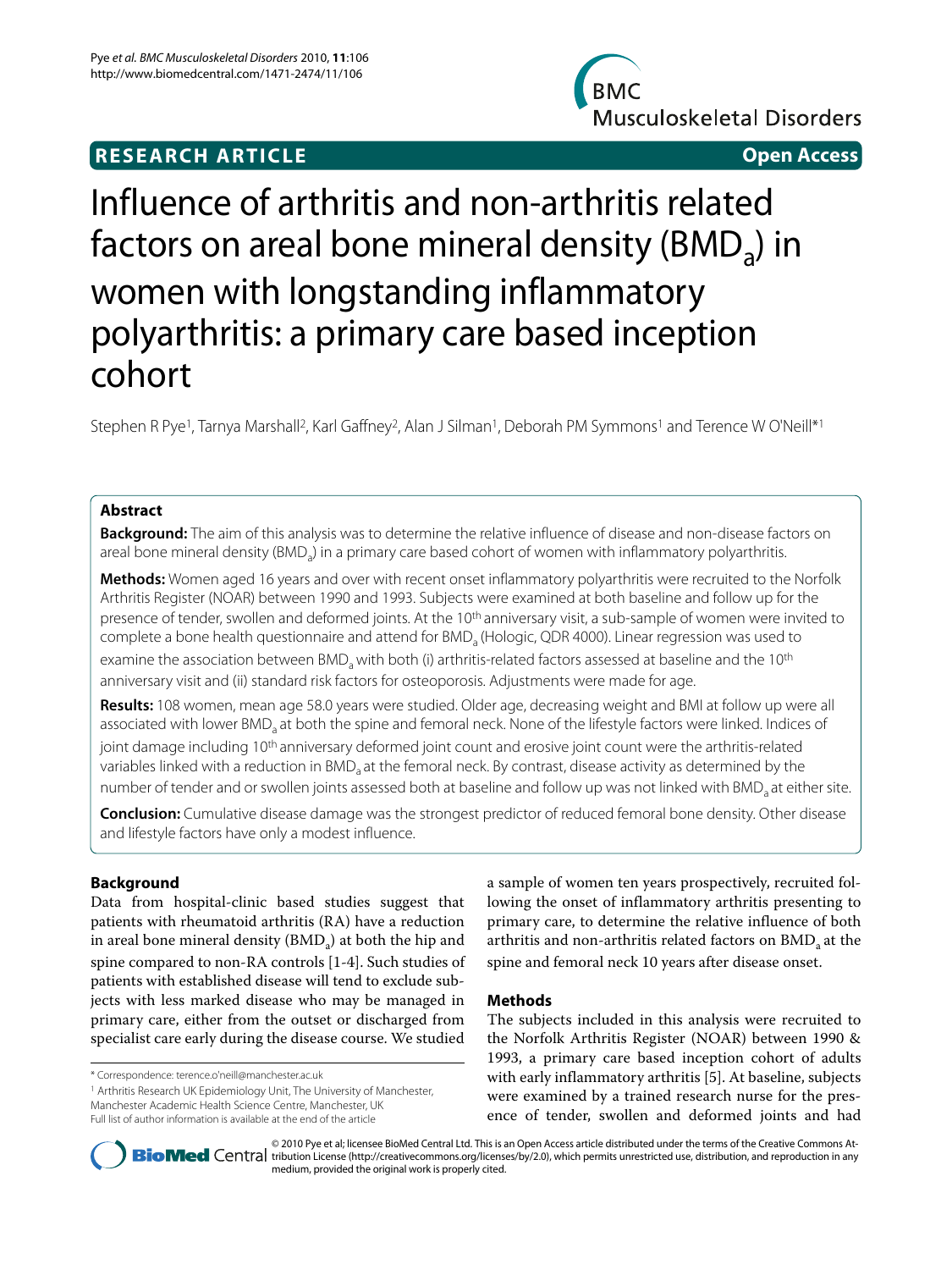## **RESEARCH ARTICLE Open Access**



# Influence of arthritis and non-arthritis related factors on areal bone mineral density (BMD<sub>a</sub>) in women with longstanding inflammatory polyarthritis: a primary care based inception cohort

Stephen R Pye<sup>1</sup>, Tarnya Marshall<sup>2</sup>, Karl Gaffney<sup>2</sup>, Alan J Silman<sup>1</sup>, Deborah PM Symmons<sup>1</sup> and Terence W O'Neill<sup>\*1</sup>

### **Abstract**

**Background:** The aim of this analysis was to determine the relative influence of disease and non-disease factors on areal bone mineral density (BMD<sub>a</sub>) in a primary care based cohort of women with inflammatory polyarthritis.

**Methods:** Women aged 16 years and over with recent onset inflammatory polyarthritis were recruited to the Norfolk Arthritis Register (NOAR) between 1990 and 1993. Subjects were examined at both baseline and follow up for the presence of tender, swollen and deformed joints. At the 10<sup>th</sup> anniversary visit, a sub-sample of women were invited to complete a bone health questionnaire and attend for BMD<sub>a</sub> (Hologic, QDR 4000). Linear regression was used to examine the association between BMD, with both (i) arthritis-related factors assessed at baseline and the 10<sup>th</sup> anniversary visit and (ii) standard risk factors for osteoporosis. Adjustments were made for age.

**Results:** 108 women, mean age 58.0 years were studied. Older age, decreasing weight and BMI at follow up were all associated with lower BMD<sub>a</sub> at both the spine and femoral neck. None of the lifestyle factors were linked. Indices of joint damage including 10<sup>th</sup> anniversary deformed joint count and erosive joint count were the arthritis-related variables linked with a reduction in BMD<sub>a</sub> at the femoral neck. By contrast, disease activity as determined by the number of tender and or swollen joints assessed both at baseline and follow up was not linked with BMD<sub>a</sub> at either site.

**Conclusion:** Cumulative disease damage was the strongest predictor of reduced femoral bone density. Other disease and lifestyle factors have only a modest influence.

### **Background**

Data from hospital-clinic based studies suggest that patients with rheumatoid arthritis (RA) have a reduction in areal bone mineral density  $(BMD_a)$  at both the hip and spine compared to non-RA controls [\[1](#page-4-0)-[4\]](#page-4-1). Such studies of patients with established disease will tend to exclude subjects with less marked disease who may be managed in primary care, either from the outset or discharged from specialist care early during the disease course. We studied

1 Arthritis Research UK Epidemiology Unit, The University of Manchester, Manchester Academic Health Science Centre, Manchester, UK Full list of author information is available at the end of the article

a sample of women ten years prospectively, recruited following the onset of inflammatory arthritis presenting to primary care, to determine the relative influence of both arthritis and non-arthritis related factors on BMD, at the spine and femoral neck 10 years after disease onset.

#### **Methods**

The subjects included in this analysis were recruited to the Norfolk Arthritis Register (NOAR) between 1990 & 1993, a primary care based inception cohort of adults with early inflammatory arthritis [[5](#page-4-2)]. At baseline, subjects were examined by a trained research nurse for the presence of tender, swollen and deformed joints and had



© 2010 Pye et al; licensee BioMed Central Ltd. This is an Open Access article distributed under the terms of the Creative Commons At-Bio Med Central tribution License (http://creativecommons.org/licenses/by/2.0), which permits unrestricted use, distribution, and reproduction in any medium, provided the original work is properly cited.

<sup>\*</sup> Correspondence: terence.o'neill@manchester.ac.uk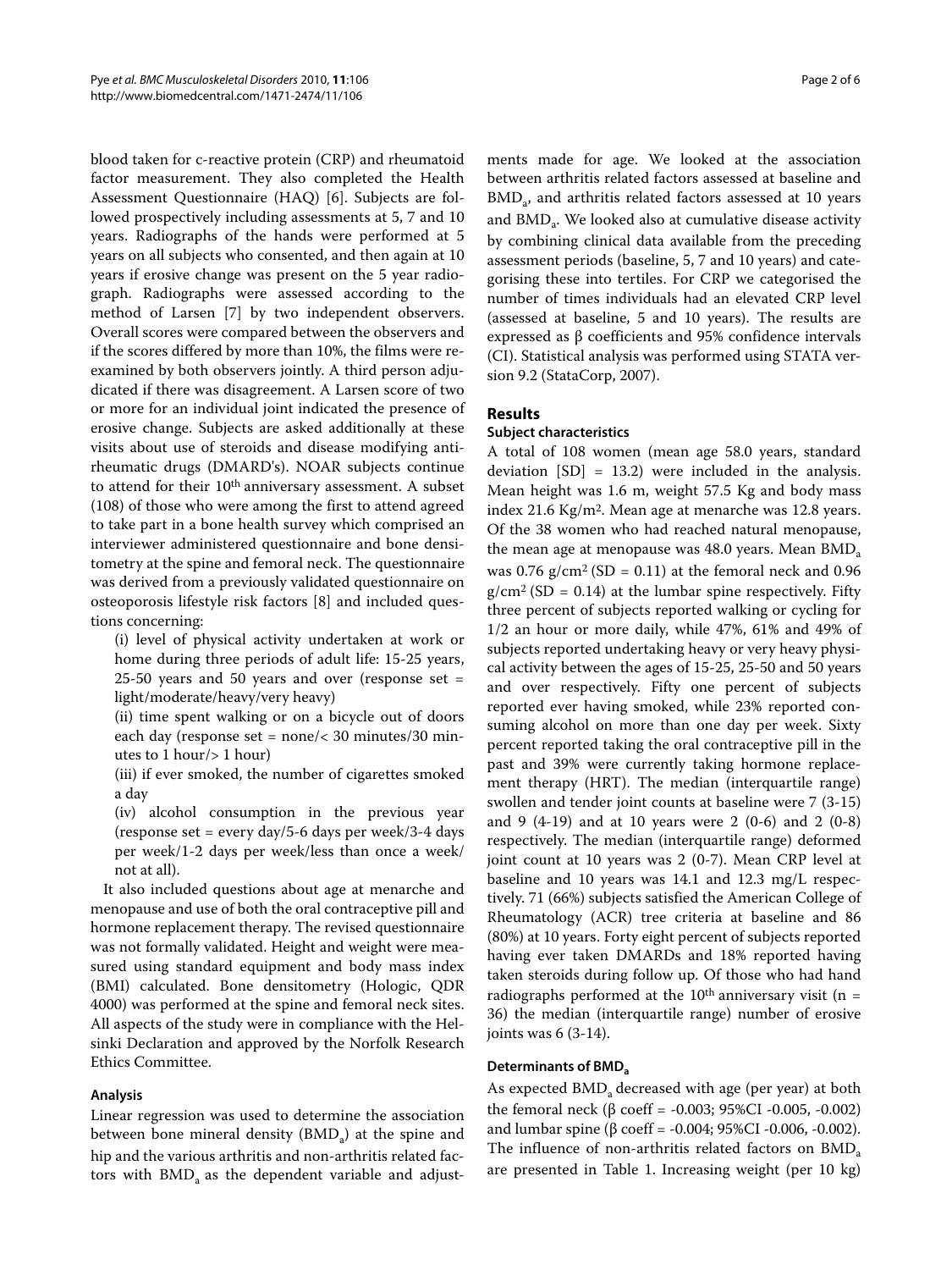blood taken for c-reactive protein (CRP) and rheumatoid factor measurement. They also completed the Health Assessment Questionnaire (HAQ) [\[6](#page-4-3)]. Subjects are followed prospectively including assessments at 5, 7 and 10 years. Radiographs of the hands were performed at 5 years on all subjects who consented, and then again at 10 years if erosive change was present on the 5 year radiograph. Radiographs were assessed according to the method of Larsen [\[7](#page-4-4)] by two independent observers. Overall scores were compared between the observers and if the scores differed by more than 10%, the films were reexamined by both observers jointly. A third person adjudicated if there was disagreement. A Larsen score of two or more for an individual joint indicated the presence of erosive change. Subjects are asked additionally at these visits about use of steroids and disease modifying antirheumatic drugs (DMARD's). NOAR subjects continue to attend for their 10<sup>th</sup> anniversary assessment. A subset (108) of those who were among the first to attend agreed to take part in a bone health survey which comprised an interviewer administered questionnaire and bone densitometry at the spine and femoral neck. The questionnaire was derived from a previously validated questionnaire on osteoporosis lifestyle risk factors [\[8](#page-4-5)] and included questions concerning:

(i) level of physical activity undertaken at work or home during three periods of adult life: 15-25 years,  $25-50$  years and  $50$  years and over (response set = light/moderate/heavy/very heavy)

(ii) time spent walking or on a bicycle out of doors each day (response set = none/< 30 minutes/30 minutes to 1 hour/> 1 hour)

(iii) if ever smoked, the number of cigarettes smoked a day

(iv) alcohol consumption in the previous year (response set = every day/5-6 days per week/3-4 days per week/1-2 days per week/less than once a week/ not at all).

It also included questions about age at menarche and menopause and use of both the oral contraceptive pill and hormone replacement therapy. The revised questionnaire was not formally validated. Height and weight were measured using standard equipment and body mass index (BMI) calculated. Bone densitometry (Hologic, QDR 4000) was performed at the spine and femoral neck sites. All aspects of the study were in compliance with the Helsinki Declaration and approved by the Norfolk Research Ethics Committee.

#### **Analysis**

Linear regression was used to determine the association between bone mineral density (BMD<sub>3</sub>) at the spine and hip and the various arthritis and non-arthritis related factors with  $BMD<sub>a</sub>$  as the dependent variable and adjust-

ments made for age. We looked at the association between arthritis related factors assessed at baseline and BMD<sub>3</sub>, and arthritis related factors assessed at 10 years and BMD<sub>3</sub>. We looked also at cumulative disease activity by combining clinical data available from the preceding assessment periods (baseline, 5, 7 and 10 years) and categorising these into tertiles. For CRP we categorised the number of times individuals had an elevated CRP level (assessed at baseline, 5 and 10 years). The results are expressed as β coefficients and 95% confidence intervals (CI). Statistical analysis was performed using STATA version 9.2 (StataCorp, 2007).

#### **Results**

#### **Subject characteristics**

A total of 108 women (mean age 58.0 years, standard deviation [SD] = 13.2) were included in the analysis. Mean height was 1.6 m, weight 57.5 Kg and body mass index 21.6 Kg/m2. Mean age at menarche was 12.8 years. Of the 38 women who had reached natural menopause, the mean age at menopause was  $48.0$  years. Mean  $BMD<sub>a</sub>$ was  $0.76$  g/cm<sup>2</sup> (SD = 0.11) at the femoral neck and 0.96  $g/cm^2$  (SD = 0.14) at the lumbar spine respectively. Fifty three percent of subjects reported walking or cycling for 1/2 an hour or more daily, while 47%, 61% and 49% of subjects reported undertaking heavy or very heavy physical activity between the ages of 15-25, 25-50 and 50 years and over respectively. Fifty one percent of subjects reported ever having smoked, while 23% reported consuming alcohol on more than one day per week. Sixty percent reported taking the oral contraceptive pill in the past and 39% were currently taking hormone replacement therapy (HRT). The median (interquartile range) swollen and tender joint counts at baseline were 7 (3-15) and 9 (4-19) and at 10 years were 2 (0-6) and 2 (0-8) respectively. The median (interquartile range) deformed joint count at 10 years was 2 (0-7). Mean CRP level at baseline and 10 years was 14.1 and 12.3 mg/L respectively. 71 (66%) subjects satisfied the American College of Rheumatology (ACR) tree criteria at baseline and 86 (80%) at 10 years. Forty eight percent of subjects reported having ever taken DMARDs and 18% reported having taken steroids during follow up. Of those who had hand radiographs performed at the 10<sup>th</sup> anniversary visit (n = 36) the median (interquartile range) number of erosive joints was 6 (3-14).

#### **Determinants of BMD.**

As expected BMD<sub>a</sub> decreased with age (per year) at both the femoral neck (β coeff = -0.003; 95%CI -0.005, -0.002) and lumbar spine (β coeff = -0.004; 95%CI -0.006, -0.002). The influence of non-arthritis related factors on  $BMD_a$ are presented in Table 1. Increasing weight (per 10 kg)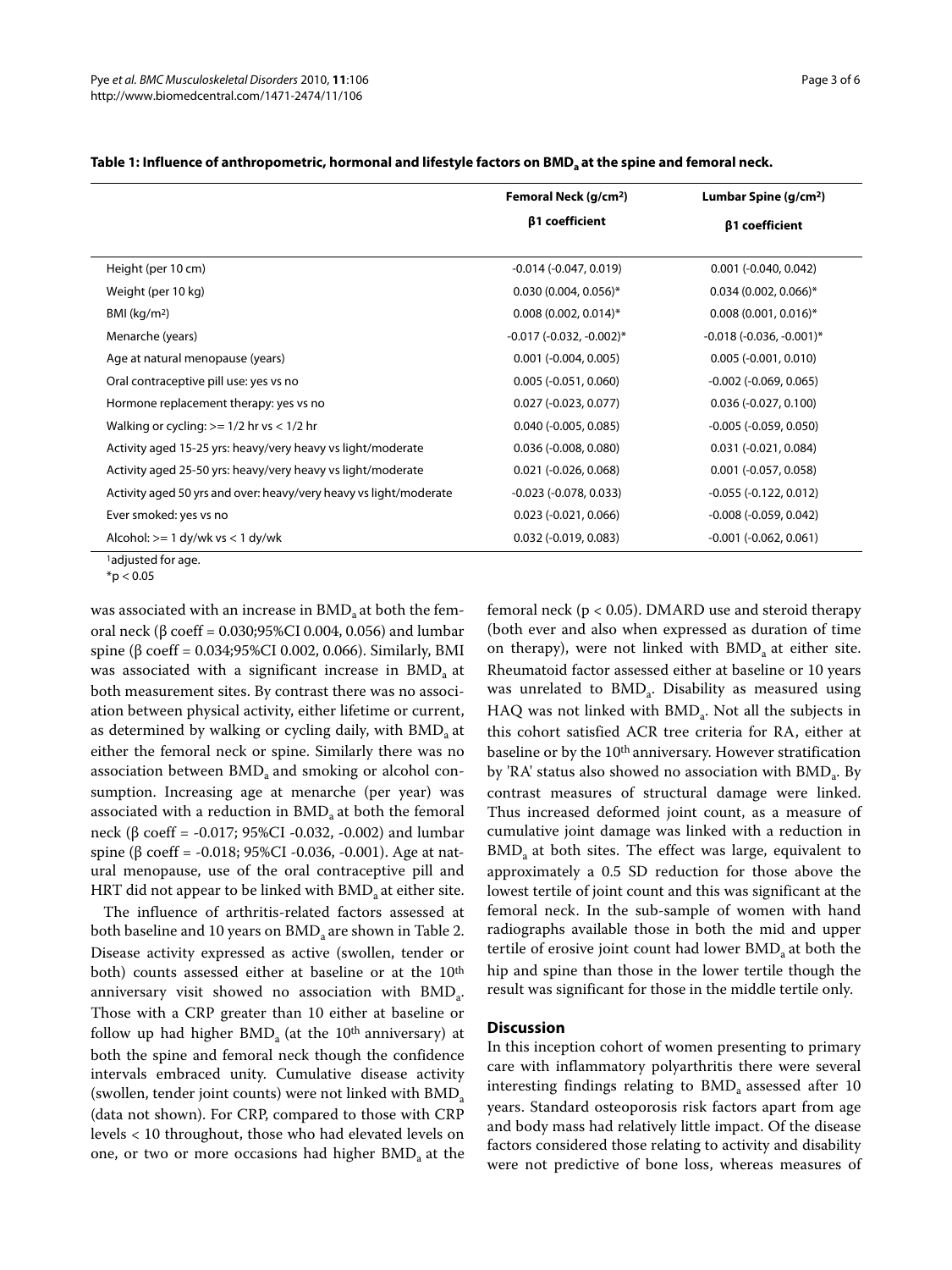|                                                                   | Femoral Neck (g/cm <sup>2</sup> ) | Lumbar Spine (g/cm <sup>2</sup> ) |  |
|-------------------------------------------------------------------|-----------------------------------|-----------------------------------|--|
|                                                                   | β1 coefficient                    | β1 coefficient                    |  |
| Height (per 10 cm)                                                | $-0.014$ $(-0.047, 0.019)$        | $0.001$ (-0.040, 0.042)           |  |
| Weight (per 10 kg)                                                | $0.030(0.004, 0.056)^*$           | $0.034(0.002, 0.066)^*$           |  |
| BMI $(kq/m2)$                                                     | $0.008$ (0.002, 0.014)*           | $0.008(0.001, 0.016)^*$           |  |
| Menarche (years)                                                  | $-0.017$ ( $-0.032$ , $-0.002$ )* | $-0.018$ ( $-0.036$ , $-0.001$ )* |  |
| Age at natural menopause (years)                                  | $0.001 (-0.004, 0.005)$           | $0.005 (-0.001, 0.010)$           |  |
| Oral contraceptive pill use: yes vs no                            | $0.005 (-0.051, 0.060)$           | $-0.002$ $(-0.069, 0.065)$        |  |
| Hormone replacement therapy: yes vs no                            | $0.027 (-0.023, 0.077)$           | $0.036 (-0.027, 0.100)$           |  |
| Walking or cycling: $>= 1/2$ hr vs < $1/2$ hr                     | $0.040 (-0.005, 0.085)$           | $-0.005$ $(-0.059, 0.050)$        |  |
| Activity aged 15-25 yrs: heavy/very heavy vs light/moderate       | $0.036(-0.008, 0.080)$            | $0.031 (-0.021, 0.084)$           |  |
| Activity aged 25-50 yrs: heavy/very heavy vs light/moderate       | $0.021$ (-0.026, 0.068)           | $0.001 (-0.057, 0.058)$           |  |
| Activity aged 50 yrs and over: heavy/very heavy vs light/moderate | $-0.023$ $(-0.078, 0.033)$        | $-0.055$ $(-0.122, 0.012)$        |  |
| Ever smoked: yes vs no                                            | $0.023$ (-0.021, 0.066)           | $-0.008$ $(-0.059, 0.042)$        |  |
| Alcohol: $>= 1 dy/wk$ vs $< 1 dy/wk$                              | $0.032$ (-0.019, 0.083)           | $-0.001$ $(-0.062, 0.061)$        |  |

#### Table 1: Influence of anthropometric, hormonal and lifestyle factors on BMD<sub>a</sub> at the spine and femoral neck.

<sup>1</sup>adjusted for age.

 $*$ p < 0.05

was associated with an increase in  $BMD<sub>a</sub>$  at both the femoral neck (β coeff = 0.030;95%CI 0.004, 0.056) and lumbar spine (β coeff = 0.034;95%CI 0.002, 0.066). Similarly, BMI was associated with a significant increase in  $BMD<sub>a</sub>$  at both measurement sites. By contrast there was no association between physical activity, either lifetime or current, as determined by walking or cycling daily, with BMD<sub>a</sub> at either the femoral neck or spine. Similarly there was no association between  $BMD<sub>a</sub>$  and smoking or alcohol consumption. Increasing age at menarche (per year) was associated with a reduction in  $BMD<sub>a</sub>$  at both the femoral neck (β coeff = -0.017; 95%CI -0.032, -0.002) and lumbar spine (β coeff = -0.018; 95%CI -0.036, -0.001). Age at natural menopause, use of the oral contraceptive pill and HRT did not appear to be linked with  $BMD<sub>a</sub>$  at either site.

The influence of arthritis-related factors assessed at both baseline and 10 years on  $BMD_a$  are shown in Table [2](#page-3-0). Disease activity expressed as active (swollen, tender or both) counts assessed either at baseline or at the 10<sup>th</sup> anniversary visit showed no association with BMD<sub>a</sub>. Those with a CRP greater than 10 either at baseline or follow up had higher  $BMD<sub>a</sub>$  (at the 10<sup>th</sup> anniversary) at both the spine and femoral neck though the confidence intervals embraced unity. Cumulative disease activity (swollen, tender joint counts) were not linked with BMD<sub>a</sub> (data not shown). For CRP, compared to those with CRP levels < 10 throughout, those who had elevated levels on one, or two or more occasions had higher  $BMD<sub>a</sub>$  at the

femoral neck (p < 0.05). DMARD use and steroid therapy (both ever and also when expressed as duration of time on therapy), were not linked with  $BMD<sub>a</sub>$  at either site. Rheumatoid factor assessed either at baseline or 10 years was unrelated to  $BMD_a$ . Disability as measured using HAQ was not linked with BMD<sub>a</sub>. Not all the subjects in this cohort satisfied ACR tree criteria for RA, either at baseline or by the 10<sup>th</sup> anniversary. However stratification by 'RA' status also showed no association with  $BMD_a$ . By contrast measures of structural damage were linked. Thus increased deformed joint count, as a measure of cumulative joint damage was linked with a reduction in BMD<sub>a</sub> at both sites. The effect was large, equivalent to approximately a 0.5 SD reduction for those above the lowest tertile of joint count and this was significant at the femoral neck. In the sub-sample of women with hand radiographs available those in both the mid and upper tertile of erosive joint count had lower  $BMD<sub>a</sub>$  at both the hip and spine than those in the lower tertile though the result was significant for those in the middle tertile only.

#### **Discussion**

In this inception cohort of women presenting to primary care with inflammatory polyarthritis there were several interesting findings relating to  $BMD<sub>a</sub>$  assessed after 10 years. Standard osteoporosis risk factors apart from age and body mass had relatively little impact. Of the disease factors considered those relating to activity and disability were not predictive of bone loss, whereas measures of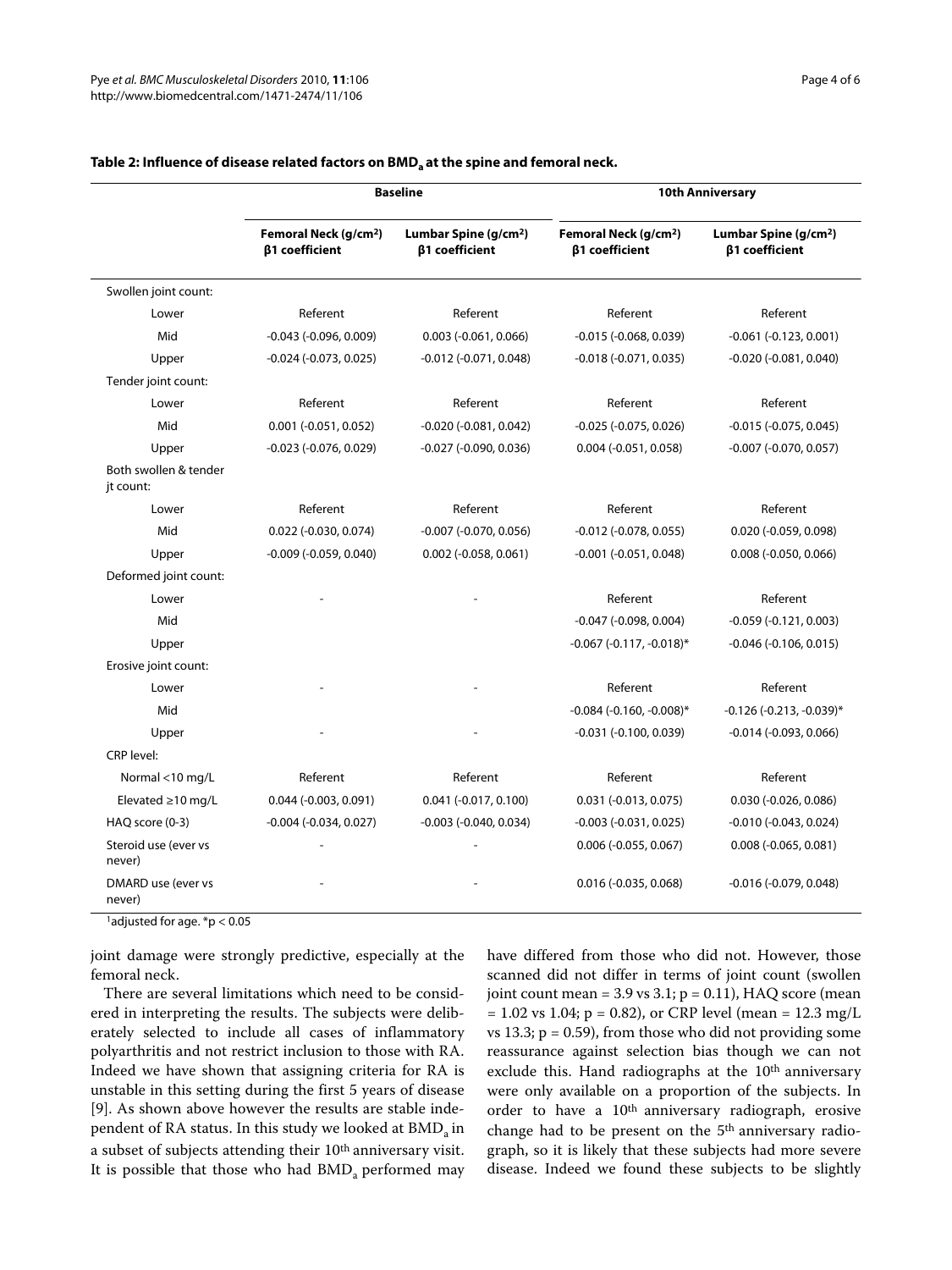|                                    | <b>Baseline</b>                                     |                                                            | <b>10th Anniversary</b>                             |                                                            |
|------------------------------------|-----------------------------------------------------|------------------------------------------------------------|-----------------------------------------------------|------------------------------------------------------------|
|                                    | Femoral Neck (g/cm <sup>2</sup> )<br>β1 coefficient | Lumbar Spine (g/cm <sup>2</sup> )<br><b>β1</b> coefficient | Femoral Neck (g/cm <sup>2</sup> )<br>β1 coefficient | Lumbar Spine (g/cm <sup>2</sup> )<br><b>β1</b> coefficient |
| Swollen joint count:               |                                                     |                                                            |                                                     |                                                            |
| Lower                              | Referent                                            | Referent                                                   | Referent                                            | Referent                                                   |
| Mid                                | $-0.043$ ( $-0.096$ , $0.009$ )                     | $0.003$ (-0.061, 0.066)                                    | $-0.015$ ( $-0.068$ , 0.039)                        | $-0.061$ $(-0.123, 0.001)$                                 |
| Upper                              | $-0.024$ $(-0.073, 0.025)$                          | $-0.012$ $(-0.071, 0.048)$                                 | $-0.018(-0.071, 0.035)$                             | $-0.020$ $(-0.081, 0.040)$                                 |
| Tender joint count:                |                                                     |                                                            |                                                     |                                                            |
| Lower                              | Referent                                            | Referent                                                   | Referent                                            | Referent                                                   |
| Mid                                | $0.001 (-0.051, 0.052)$                             | $-0.020$ $(-0.081, 0.042)$                                 | $-0.025$ $(-0.075, 0.026)$                          | $-0.015 (-0.075, 0.045)$                                   |
| Upper                              | $-0.023$ $(-0.076, 0.029)$                          | $-0.027$ ( $-0.090$ , 0.036)                               | $0.004$ (-0.051, 0.058)                             | $-0.007$ $(-0.070, 0.057)$                                 |
| Both swollen & tender<br>jt count: |                                                     |                                                            |                                                     |                                                            |
| Lower                              | Referent                                            | Referent                                                   | Referent                                            | Referent                                                   |
| Mid                                | $0.022$ (-0.030, 0.074)                             | $-0.007$ $(-0.070, 0.056)$                                 | $-0.012$ $(-0.078, 0.055)$                          | $0.020$ (-0.059, 0.098)                                    |
| Upper                              | $-0.009$ $(-0.059, 0.040)$                          | $0.002$ (-0.058, 0.061)                                    | $-0.001$ $(-0.051, 0.048)$                          | $0.008$ (-0.050, 0.066)                                    |
| Deformed joint count:              |                                                     |                                                            |                                                     |                                                            |
| Lower                              |                                                     |                                                            | Referent                                            | Referent                                                   |
| Mid                                |                                                     |                                                            | $-0.047$ ( $-0.098$ , $0.004$ )                     | $-0.059(-0.121, 0.003)$                                    |
| Upper                              |                                                     |                                                            | $-0.067$ ( $-0.117$ , $-0.018$ )*                   | $-0.046$ ( $-0.106$ , $0.015$ )                            |
| Erosive joint count:               |                                                     |                                                            |                                                     |                                                            |
| Lower                              |                                                     |                                                            | Referent                                            | Referent                                                   |
| Mid                                |                                                     |                                                            | $-0.084$ ( $-0.160$ , $-0.008$ )*                   | $-0.126$ ( $-0.213$ , $-0.039$ )*                          |
| Upper                              |                                                     |                                                            | $-0.031$ $(-0.100, 0.039)$                          | $-0.014$ $(-0.093, 0.066)$                                 |
| CRP level:                         |                                                     |                                                            |                                                     |                                                            |
| Normal <10 mg/L                    | Referent                                            | Referent                                                   | Referent                                            | Referent                                                   |
| Elevated $\geq$ 10 mg/L            | $0.044$ (-0.003, 0.091)                             | $0.041 (-0.017, 0.100)$                                    | $0.031 (-0.013, 0.075)$                             | $0.030 (-0.026, 0.086)$                                    |
| HAQ score (0-3)                    | $-0.004$ $(-0.034, 0.027)$                          | $-0.003$ $(-0.040, 0.034)$                                 | $-0.003$ $(-0.031, 0.025)$                          | $-0.010$ $(-0.043, 0.024)$                                 |
| Steroid use (ever vs<br>never)     |                                                     |                                                            | $0.006$ (-0.055, 0.067)                             | $0.008 (-0.065, 0.081)$                                    |
| DMARD use (ever vs<br>never)       |                                                     |                                                            | $0.016$ (-0.035, 0.068)                             | $-0.016$ $(-0.079, 0.048)$                                 |

#### <span id="page-3-0"></span>Table 2: Influence of disease related factors on BMD<sub>a</sub> at the spine and femoral neck.

joint damage were strongly predictive, especially at the femoral neck.

There are several limitations which need to be considered in interpreting the results. The subjects were deliberately selected to include all cases of inflammatory polyarthritis and not restrict inclusion to those with RA. Indeed we have shown that assigning criteria for RA is unstable in this setting during the first 5 years of disease [[9\]](#page-4-6). As shown above however the results are stable independent of RA status. In this study we looked at BMD<sub>a</sub> in a subset of subjects attending their 10th anniversary visit. It is possible that those who had BMD<sub>a</sub> performed may have differed from those who did not. However, those scanned did not differ in terms of joint count (swollen joint count mean =  $3.9$  vs  $3.1$ ;  $p = 0.11$ ), HAQ score (mean  $= 1.02$  vs 1.04; p = 0.82), or CRP level (mean = 12.3 mg/L vs 13.3;  $p = 0.59$ ), from those who did not providing some reassurance against selection bias though we can not exclude this. Hand radiographs at the 10<sup>th</sup> anniversary were only available on a proportion of the subjects. In order to have a 10th anniversary radiograph, erosive change had to be present on the 5<sup>th</sup> anniversary radiograph, so it is likely that these subjects had more severe disease. Indeed we found these subjects to be slightly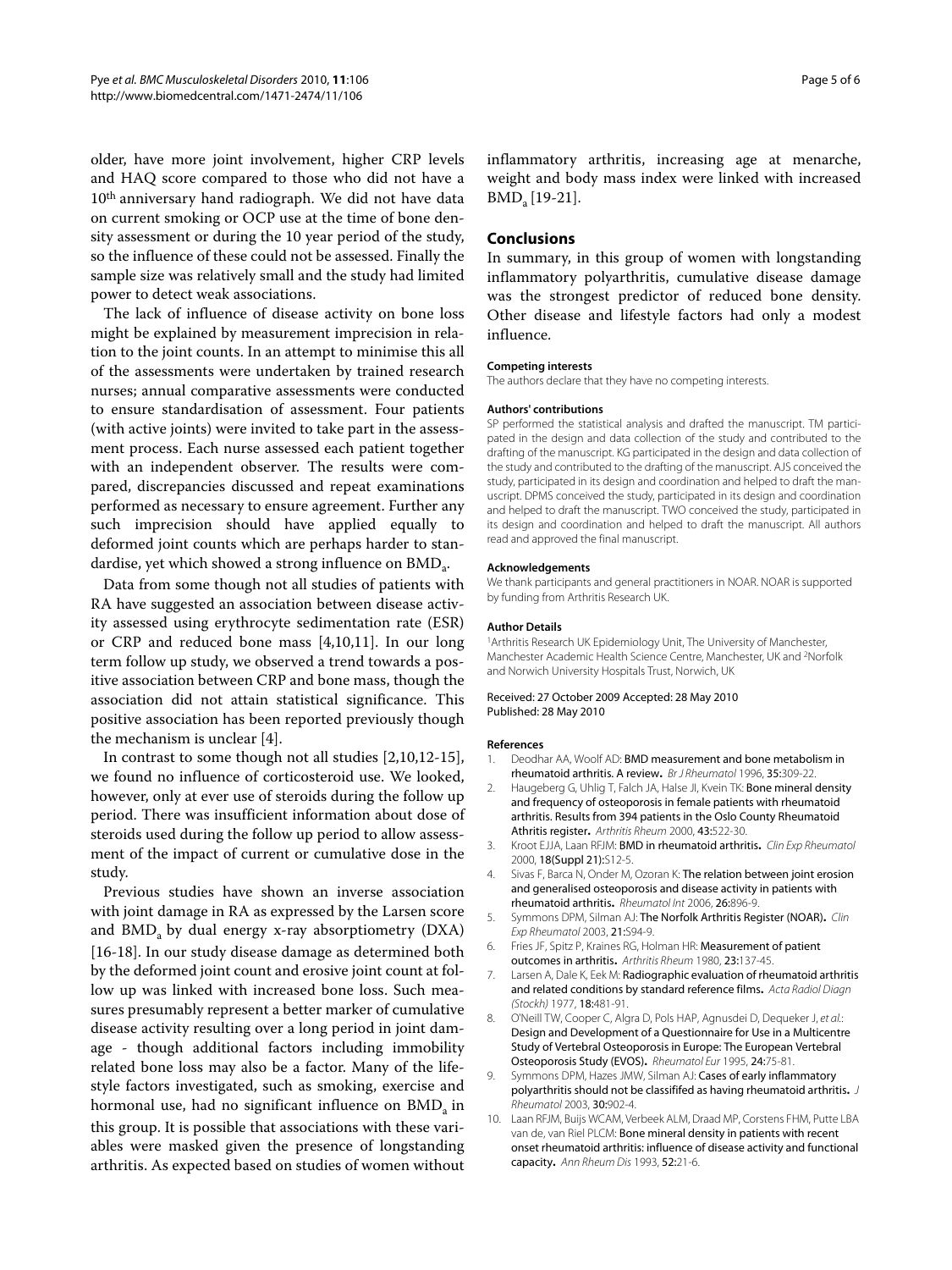older, have more joint involvement, higher CRP levels and HAQ score compared to those who did not have a 10th anniversary hand radiograph. We did not have data on current smoking or OCP use at the time of bone density assessment or during the 10 year period of the study, so the influence of these could not be assessed. Finally the sample size was relatively small and the study had limited power to detect weak associations.

The lack of influence of disease activity on bone loss might be explained by measurement imprecision in relation to the joint counts. In an attempt to minimise this all of the assessments were undertaken by trained research nurses; annual comparative assessments were conducted to ensure standardisation of assessment. Four patients (with active joints) were invited to take part in the assessment process. Each nurse assessed each patient together with an independent observer. The results were compared, discrepancies discussed and repeat examinations performed as necessary to ensure agreement. Further any such imprecision should have applied equally to deformed joint counts which are perhaps harder to standardise, yet which showed a strong influence on BMD<sub>a</sub>.

Data from some though not all studies of patients with RA have suggested an association between disease activity assessed using erythrocyte sedimentation rate (ESR) or CRP and reduced bone mass [\[4](#page-4-1)[,10](#page-4-7),[11](#page-5-0)]. In our long term follow up study, we observed a trend towards a positive association between CRP and bone mass, though the association did not attain statistical significance. This positive association has been reported previously though the mechanism is unclear [\[4](#page-4-1)].

In contrast to some though not all studies [[2,](#page-4-8)[10,](#page-4-7)[12-](#page-5-1)[15](#page-5-2)], we found no influence of corticosteroid use. We looked, however, only at ever use of steroids during the follow up period. There was insufficient information about dose of steroids used during the follow up period to allow assessment of the impact of current or cumulative dose in the study.

Previous studies have shown an inverse association with joint damage in RA as expressed by the Larsen score and  $BMD<sub>a</sub>$  by dual energy x-ray absorptiometry (DXA) [[16-](#page-5-3)[18](#page-5-4)]. In our study disease damage as determined both by the deformed joint count and erosive joint count at follow up was linked with increased bone loss. Such measures presumably represent a better marker of cumulative disease activity resulting over a long period in joint damage - though additional factors including immobility related bone loss may also be a factor. Many of the lifestyle factors investigated, such as smoking, exercise and hormonal use, had no significant influence on  $BMD<sub>a</sub>$  in this group. It is possible that associations with these variables were masked given the presence of longstanding arthritis. As expected based on studies of women without inflammatory arthritis, increasing age at menarche, weight and body mass index were linked with increased  $BMD<sub>a</sub>[19-21].$  $BMD<sub>a</sub>[19-21].$  $BMD<sub>a</sub>[19-21].$  $BMD<sub>a</sub>[19-21].$ 

#### **Conclusions**

In summary, in this group of women with longstanding inflammatory polyarthritis, cumulative disease damage was the strongest predictor of reduced bone density. Other disease and lifestyle factors had only a modest influence.

#### **Competing interests**

The authors declare that they have no competing interests.

#### **Authors' contributions**

SP performed the statistical analysis and drafted the manuscript. TM participated in the design and data collection of the study and contributed to the drafting of the manuscript. KG participated in the design and data collection of the study and contributed to the drafting of the manuscript. AJS conceived the study, participated in its design and coordination and helped to draft the manuscript. DPMS conceived the study, participated in its design and coordination and helped to draft the manuscript. TWO conceived the study, participated in its design and coordination and helped to draft the manuscript. All authors read and approved the final manuscript.

#### **Acknowledgements**

We thank participants and general practitioners in NOAR. NOAR is supported by funding from Arthritis Research UK.

#### **Author Details**

1 Arthritis Research UK Epidemiology Unit, The University of Manchester, Manchester Academic Health Science Centre, Manchester, UK and 2Norfolk and Norwich University Hospitals Trust, Norwich, UK

#### Received: 27 October 2009 Accepted: 28 May 2010 Published: 28 May 2010

#### **References**

- <span id="page-4-0"></span>1. Deodhar AA, Woolf AD: BMD measurement and bone metabolism in rheumatoid arthritis. A revie[w](http://www.ncbi.nlm.nih.gov/entrez/query.fcgi?cmd=Retrieve&db=PubMed&dopt=Abstract&list_uids=8624634)**.** Br J Rheumatol 1996, 35:309-22.
- <span id="page-4-8"></span>2. Haugeberg G, Uhlig T, Falch JA, Halse JI, Kvein TK: Bone mineral density and frequency of osteoporosis in female patients with rheumatoid arthritis. Results from 394 patients in the Oslo County Rheumatoid Athritis register**.** Arthritis Rheum 2000, 43:522-30.
- 3. Kroot EJJA, Laan RFJM: BMD in rheumatoid arthritis**[.](http://www.ncbi.nlm.nih.gov/entrez/query.fcgi?cmd=Retrieve&db=PubMed&dopt=Abstract&list_uids=10948750)** Clin Exp Rheumatol 2000, 18(Suppl 21):S12-5.
- <span id="page-4-1"></span>4. Sivas F, Barca N, Onder M, Ozoran K: The relation between joint erosion and generalised osteoporosis and disease activity in patients with rheumatoid arthriti[s](http://www.ncbi.nlm.nih.gov/entrez/query.fcgi?cmd=Retrieve&db=PubMed&dopt=Abstract&list_uids=16625342)**.** Rheumatol Int 2006, 26:896-9.
- <span id="page-4-2"></span>5. Symmons DPM, Silman AJ: The Norfolk Arthritis Register (NOAR)**.** Clin Exp Rheumatol 2003, 21:S94-9.
- <span id="page-4-3"></span>6. Fries JF, Spitz P, Kraines RG, Holman HR: Measurement of patient outcomes in arthritis**.** Arthritis Rheum 1980, 23:137-45.
- <span id="page-4-4"></span>7 Larsen A, Dale K, Fek M: Radiographic evaluation of rheumatoid arthritis and related conditions by standard reference films**.** Acta Radiol Diagn (Stockh) 1977, 18:481-91.
- <span id="page-4-5"></span>8. O'Neill TW, Cooper C, Algra D, Pols HAP, Agnusdei D, Dequeker J, et al.: Design and Development of a Questionnaire for Use in a Multicentre Study of Vertebral Osteoporosis in Europe: The European Vertebral Osteoporosis Study (EVOS)**.** Rheumatol Eur 1995, 24:75-81.
- <span id="page-4-6"></span>Symmons DPM, Hazes JMW, Silman AJ: Cases of early inflammatory polyarthritis should not be classififed as having rheumatoid arthritis**.** J Rheumatol 2003, 30:902-4.
- <span id="page-4-7"></span>10. Laan RFJM, Buijs WCAM, Verbeek ALM, Draad MP, Corstens FHM, Putte LBA van de, van Riel PLCM: Bone mineral density in patients with recent onset rheumatoid arthritis: influence of disease activity and functional capacity**.** Ann Rheum Dis 1993, 52:21-6.